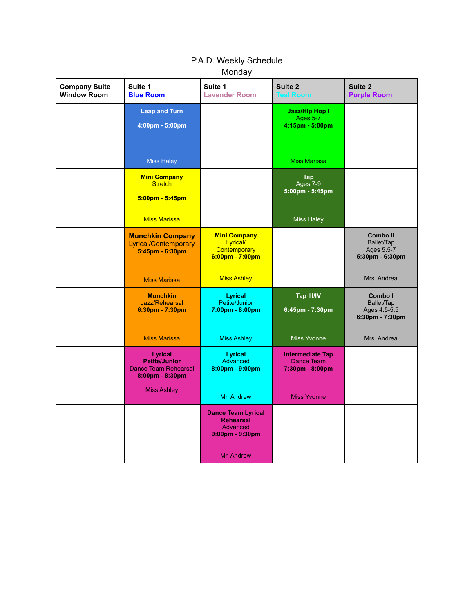| <b>Company Suite</b><br><b>Window Room</b> | Suite 1<br><b>Blue Room</b>                                                       | Suite 1<br><b>Lavender Room</b>                                                    | Suite 2<br><b>Teal Room</b>                                | Suite 2<br><b>Purple Room</b>                                  |
|--------------------------------------------|-----------------------------------------------------------------------------------|------------------------------------------------------------------------------------|------------------------------------------------------------|----------------------------------------------------------------|
|                                            | <b>Leap and Turn</b><br>4:00pm - 5:00pm                                           |                                                                                    | Jazz/Hip Hop I<br>Ages 5-7<br>$4:15$ pm - $5:00$ pm        |                                                                |
|                                            | <b>Miss Haley</b>                                                                 |                                                                                    | <b>Miss Marissa</b>                                        |                                                                |
|                                            | <b>Mini Company</b><br><b>Stretch</b><br>$5:00 \text{pm} - 5:45 \text{pm}$        |                                                                                    | Tap<br>Ages 7-9<br>5:00pm - 5:45pm                         |                                                                |
|                                            | <b>Miss Marissa</b>                                                               |                                                                                    | <b>Miss Haley</b>                                          |                                                                |
|                                            | <b>Munchkin Company</b><br><b>Lyrical/Contemporary</b><br>$5:45$ pm - $6:30$ pm   | <b>Mini Company</b><br>Lyrical/<br><b>Contemporary</b><br>6:00pm - 7:00pm          |                                                            | <b>Comboll</b><br>Ballet/Tap<br>Ages 5.5-7<br>5:30pm - 6:30pm  |
|                                            | <b>Miss Marissa</b>                                                               | <b>Miss Ashley</b>                                                                 |                                                            | Mrs. Andrea                                                    |
|                                            | <b>Munchkin</b><br>Jazz/Rehearsal<br>$6:30pm - 7:30pm$                            | <b>Lyrical</b><br>Petite/Junior<br>$7:00 \text{pm} - 8:00 \text{pm}$               | <b>Tap III/IV</b><br>6:45pm - 7:30pm                       | Combo I<br>Ballet/Tap<br>Ages 4.5-5.5<br>$6:30$ pm - $7:30$ pm |
|                                            | <b>Miss Marissa</b>                                                               | <b>Miss Ashley</b>                                                                 | <b>Miss Yvonne</b>                                         | Mrs. Andrea                                                    |
|                                            | Lyrical<br><b>Petite/Junior</b><br><b>Dance Team Rehearsal</b><br>8:00pm - 8:30pm | Lyrical<br>Advanced<br>$8:00 \text{pm} - 9:00 \text{pm}$                           | <b>Intermediate Tap</b><br>Dance Team<br>$7:30pm - 8:00pm$ |                                                                |
|                                            | <b>Miss Ashley</b>                                                                | Mr. Andrew                                                                         | <b>Miss Yvonne</b>                                         |                                                                |
|                                            |                                                                                   | <b>Dance Team Lyrical</b><br><b>Rehearsal</b><br>Advanced<br>$9:00$ pm - $9:30$ pm |                                                            |                                                                |
|                                            |                                                                                   | Mr. Andrew                                                                         |                                                            |                                                                |

# P.A.D. Weekly Schedule Monday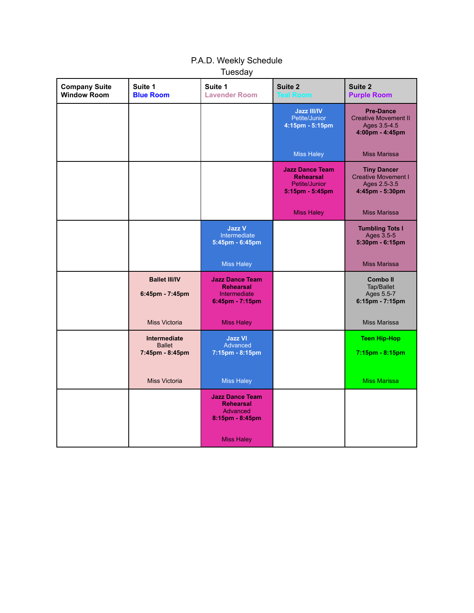| <b>Company Suite</b><br><b>Window Room</b> | Suite 1<br><b>Blue Room</b>                      | Suite 1<br><b>Lavender Room</b>                                               | Suite 2<br><b>Teal Room</b>                                                          | Suite 2<br><b>Purple Room</b>                                                       |
|--------------------------------------------|--------------------------------------------------|-------------------------------------------------------------------------------|--------------------------------------------------------------------------------------|-------------------------------------------------------------------------------------|
|                                            |                                                  |                                                                               | <b>Jazz III/IV</b><br>Petite/Junior<br>4:15pm - 5:15pm                               | <b>Pre-Dance</b><br><b>Creative Movement II</b><br>Ages 3.5-4.5<br>4:00pm - 4:45pm  |
|                                            |                                                  |                                                                               | <b>Miss Haley</b>                                                                    | <b>Miss Marissa</b>                                                                 |
|                                            |                                                  |                                                                               | <b>Jazz Dance Team</b><br><b>Rehearsal</b><br>Petite/Junior<br>$5:15$ pm - $5:45$ pm | <b>Tiny Dancer</b><br><b>Creative Movement I</b><br>Ages 2.5-3.5<br>4:45pm - 5:30pm |
|                                            |                                                  |                                                                               | <b>Miss Haley</b>                                                                    | <b>Miss Marissa</b>                                                                 |
|                                            |                                                  | <b>Jazz V</b><br>Intermediate<br>5:45pm - 6:45pm                              |                                                                                      | <b>Tumbling Tots I</b><br>Ages 3.5-5<br>5:30pm - 6:15pm                             |
|                                            |                                                  | <b>Miss Haley</b>                                                             |                                                                                      | <b>Miss Marissa</b>                                                                 |
|                                            | <b>Ballet III/IV</b><br>6:45pm - 7:45pm          | <b>Jazz Dance Team</b><br><b>Rehearsal</b><br>Intermediate<br>6:45pm - 7:15pm |                                                                                      | <b>Comboll</b><br>Tap/Ballet<br>Ages 5.5-7<br>6:15pm - 7:15pm                       |
|                                            | <b>Miss Victoria</b>                             | <b>Miss Haley</b>                                                             |                                                                                      | <b>Miss Marissa</b>                                                                 |
|                                            | Intermediate<br><b>Ballet</b><br>7:45pm - 8:45pm | <b>Jazz VI</b><br>Advanced<br>7:15pm - 8:15pm                                 |                                                                                      | <b>Teen Hip-Hop</b><br>7:15pm - 8:15pm                                              |
|                                            | <b>Miss Victoria</b>                             | <b>Miss Haley</b>                                                             |                                                                                      | <b>Miss Marissa</b>                                                                 |
|                                            |                                                  | <b>Jazz Dance Team</b><br><b>Rehearsal</b><br>Advanced<br>8:15pm - 8:45pm     |                                                                                      |                                                                                     |
|                                            |                                                  | Miss Haley                                                                    |                                                                                      |                                                                                     |

### P.A.D. Weekly Schedule **Tuesday**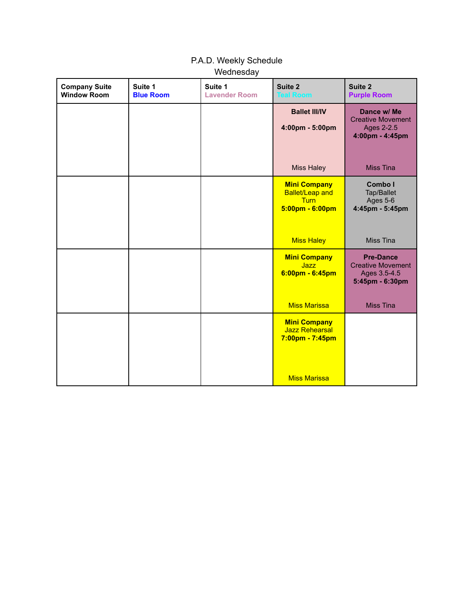| <b>Company Suite</b><br><b>Window Room</b> | Suite 1<br><b>Blue Room</b> | Suite 1<br><b>Lavender Room</b> | Suite 2<br><b>Teal Room</b>                                                                       | Suite 2<br><b>Purple Room</b>                                                   |
|--------------------------------------------|-----------------------------|---------------------------------|---------------------------------------------------------------------------------------------------|---------------------------------------------------------------------------------|
|                                            |                             |                                 | <b>Ballet III/IV</b><br>4:00pm - 5:00pm                                                           | Dance w/ Me<br><b>Creative Movement</b><br>Ages 2-2.5<br>4:00pm - 4:45pm        |
|                                            |                             |                                 | <b>Miss Haley</b>                                                                                 | <b>Miss Tina</b>                                                                |
|                                            |                             |                                 | <b>Mini Company</b><br><b>Ballet/Leap and</b><br><b>Turn</b><br>$5:00 \text{pm} - 6:00 \text{pm}$ | Combo I<br>Tap/Ballet<br>Ages 5-6<br>4:45pm - 5:45pm                            |
|                                            |                             |                                 | <b>Miss Haley</b>                                                                                 | Miss Tina                                                                       |
|                                            |                             |                                 | <b>Mini Company</b><br><b>Jazz</b><br>$6:00$ pm - $6:45$ pm                                       | <b>Pre-Dance</b><br><b>Creative Movement</b><br>Ages 3.5-4.5<br>5:45pm - 6:30pm |
|                                            |                             |                                 | <b>Miss Marissa</b>                                                                               | <b>Miss Tina</b>                                                                |
|                                            |                             |                                 | <b>Mini Company</b><br><b>Jazz Rehearsal</b><br>7:00pm - 7:45pm                                   |                                                                                 |
|                                            |                             |                                 | <b>Miss Marissa</b>                                                                               |                                                                                 |

### P.A.D. Weekly Schedule **Wednesday**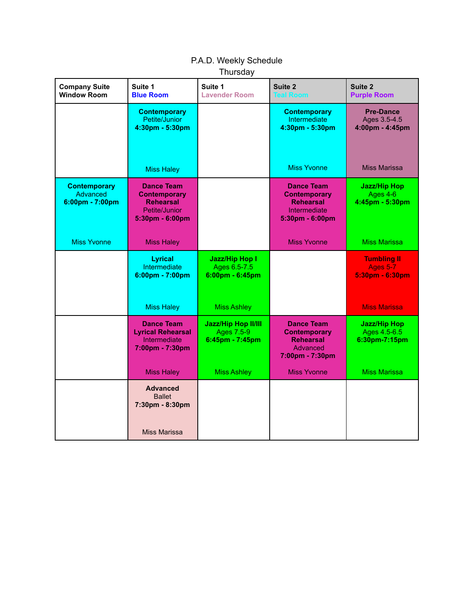## P.A.D. Weekly Schedule **Thursday**

| <b>Company Suite</b><br><b>Window Room</b>         | Suite 1<br><b>Blue Room</b>                                                                      | Suite 1<br><b>Lavender Room</b>                                            | Suite 2<br><b>Teal Room</b>                                                                     | Suite 2<br><b>Purple Room</b>                            |
|----------------------------------------------------|--------------------------------------------------------------------------------------------------|----------------------------------------------------------------------------|-------------------------------------------------------------------------------------------------|----------------------------------------------------------|
|                                                    | <b>Contemporary</b><br>Petite/Junior<br>4:30pm - 5:30pm                                          |                                                                            | <b>Contemporary</b><br>Intermediate<br>4:30pm - 5:30pm                                          | <b>Pre-Dance</b><br>Ages 3.5-4.5<br>4:00pm - 4:45pm      |
|                                                    | <b>Miss Haley</b>                                                                                |                                                                            | <b>Miss Yvonne</b>                                                                              | <b>Miss Marissa</b>                                      |
| <b>Contemporary</b><br>Advanced<br>6:00pm - 7:00pm | <b>Dance Team</b><br><b>Contemporary</b><br><b>Rehearsal</b><br>Petite/Junior<br>5:30pm - 6:00pm |                                                                            | <b>Dance Team</b><br><b>Contemporary</b><br><b>Rehearsal</b><br>Intermediate<br>5:30pm - 6:00pm | <b>Jazz/Hip Hop</b><br>Ages 4-6<br>4:45pm - 5:30pm       |
| <b>Miss Yvonne</b>                                 | <b>Miss Haley</b>                                                                                |                                                                            | <b>Miss Yvonne</b>                                                                              | <b>Miss Marissa</b>                                      |
|                                                    | <b>Lyrical</b><br>Intermediate<br>6:00pm - 7:00pm                                                | <b>Jazz/Hip Hop I</b><br>Ages 6.5-7.5<br>$6:00 \text{pm} - 6:45 \text{pm}$ |                                                                                                 | <b>Tumbling II</b><br><b>Ages 5-7</b><br>5:30pm - 6:30pm |
|                                                    | <b>Miss Haley</b>                                                                                | <b>Miss Ashley</b>                                                         |                                                                                                 | <b>Miss Marissa</b>                                      |
|                                                    | <b>Dance Team</b><br><b>Lyrical Rehearsal</b><br>Intermediate<br>7:00pm - 7:30pm                 | <b>Jazz/Hip Hop II/III</b><br><b>Ages 7.5-9</b><br>6:45pm - 7:45pm         | <b>Dance Team</b><br><b>Contemporary</b><br><b>Rehearsal</b><br>Advanced<br>7:00pm - 7:30pm     | <b>Jazz/Hip Hop</b><br>Ages 4.5-6.5<br>6:30pm-7:15pm     |
|                                                    | <b>Miss Haley</b>                                                                                | <b>Miss Ashley</b>                                                         | <b>Miss Yvonne</b>                                                                              | <b>Miss Marissa</b>                                      |
|                                                    | <b>Advanced</b><br><b>Ballet</b><br>7:30pm - 8:30pm<br>Miss Marissa                              |                                                                            |                                                                                                 |                                                          |
|                                                    |                                                                                                  |                                                                            |                                                                                                 |                                                          |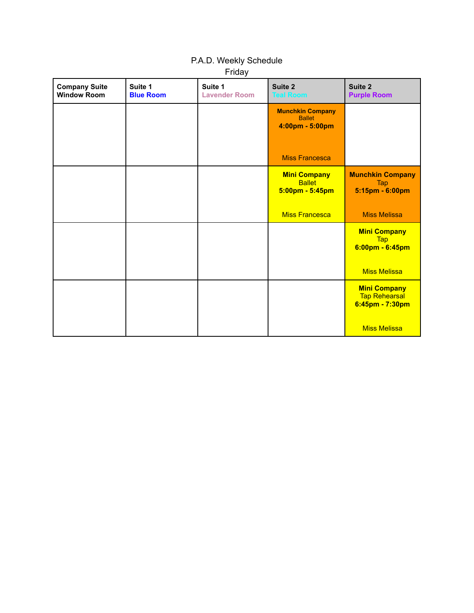### P.A.D. Weekly Schedule Friday

| <b>Company Suite</b><br><b>Window Room</b> | Suite 1<br><b>Blue Room</b> | Suite 1<br><b>Lavender Room</b> | Suite 2<br><b>Teal Room</b>                                 | Suite 2<br><b>Purple Room</b>                                  |
|--------------------------------------------|-----------------------------|---------------------------------|-------------------------------------------------------------|----------------------------------------------------------------|
|                                            |                             |                                 | <b>Munchkin Company</b><br><b>Ballet</b><br>4:00pm - 5:00pm |                                                                |
|                                            |                             |                                 | <b>Miss Francesca</b>                                       |                                                                |
|                                            |                             |                                 | <b>Mini Company</b><br><b>Ballet</b><br>5:00pm - 5:45pm     | <b>Munchkin Company</b><br><b>Tap</b><br>5:15pm - 6:00pm       |
|                                            |                             |                                 | <b>Miss Francesca</b>                                       | <b>Miss Melissa</b>                                            |
|                                            |                             |                                 |                                                             | <b>Mini Company</b><br><b>Tap</b><br>$6:00$ pm - $6:45$ pm     |
|                                            |                             |                                 |                                                             | <b>Miss Melissa</b>                                            |
|                                            |                             |                                 |                                                             | <b>Mini Company</b><br><b>Tap Rehearsal</b><br>6:45pm - 7:30pm |
|                                            |                             |                                 |                                                             | <b>Miss Melissa</b>                                            |